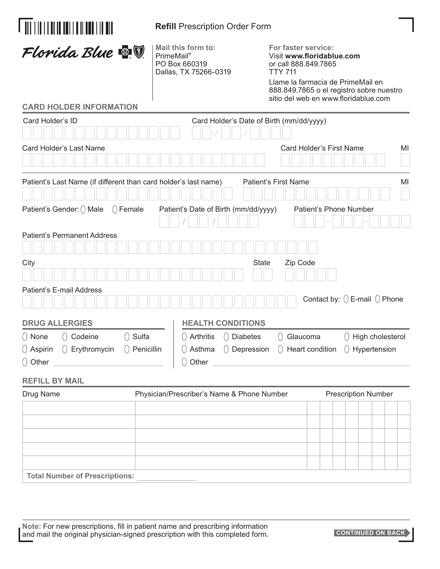| <u> Ail i in i i ai in thi i ail i ann i in min</u>                                                               | <b>Refill Prescription Order Form</b>                                                  |                                                                                                                                                                                                                                                                                                              |  |  |
|-------------------------------------------------------------------------------------------------------------------|----------------------------------------------------------------------------------------|--------------------------------------------------------------------------------------------------------------------------------------------------------------------------------------------------------------------------------------------------------------------------------------------------------------|--|--|
| Florida Blue <b>&amp; T</b>                                                                                       | Mail this form to:<br>PrimeMail <sup>®</sup><br>PO Box 660319<br>Dallas, TX 75266-0319 | For faster service:<br>Visit www.floridablue.com<br>or call 888.849.7865<br><b>TTY 711</b><br>Llame la farmacia de PrimeMail en<br>888.849.7865 o el registro sobre nuestro<br>sitio del web en www.floridablue.com                                                                                          |  |  |
| <b>CARD HOLDER INFORMATION</b>                                                                                    |                                                                                        |                                                                                                                                                                                                                                                                                                              |  |  |
| Card Holder's ID                                                                                                  |                                                                                        | Card Holder's Date of Birth (mm/dd/yyyy)                                                                                                                                                                                                                                                                     |  |  |
| Card Holder's Last Name                                                                                           |                                                                                        | Card Holder's First Name<br>MI                                                                                                                                                                                                                                                                               |  |  |
| Patient's Last Name (if different than card holder's last name)                                                   |                                                                                        | <b>Patient's First Name</b><br>MI                                                                                                                                                                                                                                                                            |  |  |
| Patient's Gender: () Male<br>$()$ Female                                                                          | Patient's Date of Birth (mm/dd/yyyy)                                                   | Patient's Phone Number                                                                                                                                                                                                                                                                                       |  |  |
| <b>Patient's Permanent Address</b>                                                                                |                                                                                        |                                                                                                                                                                                                                                                                                                              |  |  |
| City                                                                                                              |                                                                                        | <b>State</b><br>Zip Code                                                                                                                                                                                                                                                                                     |  |  |
| Patient's E-mail Address                                                                                          |                                                                                        | Contact by: $()$ E-mail $()$ Phone                                                                                                                                                                                                                                                                           |  |  |
| <b>DRUG ALLERGIES</b>                                                                                             | <b>HEALTH CONDITIONS</b>                                                               |                                                                                                                                                                                                                                                                                                              |  |  |
| ○ None   ○ Codeine     ○ Sulfa<br>$\left(\right)$ Aspirin $\left(\right)$ Erythromycin $\left(\right)$ Penicillin |                                                                                        | $\left(\begin{array}{ccc} 0 & \text{Arthritis} & 0 \end{array}\right)$ Diabetes $\left(\begin{array}{ccc} 0 & \text{Glaucoma} & 0 \end{array}\right)$ High cholesterol<br>$\left(\right)$ Asthma $\left(\right)$ Depression $\left(\right)$ Heart condition $\left(\right)$ Hypertension<br>$\bigcirc$ Other |  |  |
| <b>REFILL BY MAIL</b>                                                                                             |                                                                                        |                                                                                                                                                                                                                                                                                                              |  |  |
| Drug Name                                                                                                         | Physician/Prescriber's Name & Phone Number                                             | <b>Prescription Number</b>                                                                                                                                                                                                                                                                                   |  |  |
|                                                                                                                   |                                                                                        |                                                                                                                                                                                                                                                                                                              |  |  |
|                                                                                                                   |                                                                                        |                                                                                                                                                                                                                                                                                                              |  |  |
|                                                                                                                   |                                                                                        |                                                                                                                                                                                                                                                                                                              |  |  |
|                                                                                                                   |                                                                                        |                                                                                                                                                                                                                                                                                                              |  |  |
| <b>Total Number of Prescriptions:</b>                                                                             |                                                                                        |                                                                                                                                                                                                                                                                                                              |  |  |

**CONTINUED ON BACK**